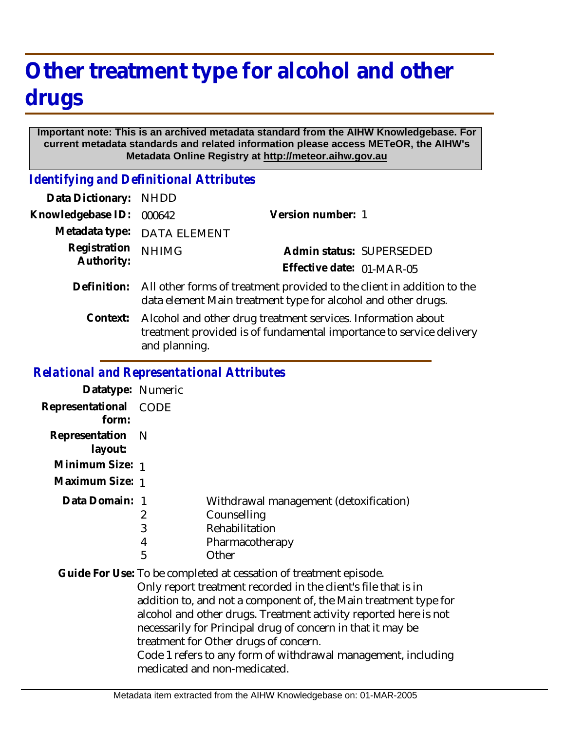## **Other treatment type for alcohol and other drugs**

## **Important note: This is an archived metadata standard from the AIHW Knowledgebase. For current metadata standards and related information please access METeOR, the AIHW's Metadata Online Registry at http://meteor.aihw.gov.au**

*Identifying and Definitional Attributes*

| Data Dictionary:           | <b>NHDD</b>                                                                                                                                          |                           |  |
|----------------------------|------------------------------------------------------------------------------------------------------------------------------------------------------|---------------------------|--|
| Knowledgebase ID:          | 000642                                                                                                                                               | Version number: 1         |  |
| Metadata type:             | <b>DATA ELEMENT</b>                                                                                                                                  |                           |  |
| Registration<br>Authority: | <b>NHIMG</b>                                                                                                                                         | Admin status: SUPERSEDED  |  |
|                            |                                                                                                                                                      | Effective date: 01-MAR-05 |  |
| Definition:                | All other forms of treatment provided to the client in addition to the<br>data element Main treatment type for alcohol and other drugs.              |                           |  |
| Context:                   | Alcohol and other drug treatment services. Information about<br>treatment provided is of fundamental importance to service delivery<br>and planning. |                           |  |

## *Relational and Representational Attributes*

| Datatype: Numeric         |                  |                                                                                                                                                                                                                                                                                                                                                                                                                                                                                      |
|---------------------------|------------------|--------------------------------------------------------------------------------------------------------------------------------------------------------------------------------------------------------------------------------------------------------------------------------------------------------------------------------------------------------------------------------------------------------------------------------------------------------------------------------------|
| Representational<br>form: | CODE             |                                                                                                                                                                                                                                                                                                                                                                                                                                                                                      |
| Representation<br>layout: | - N              |                                                                                                                                                                                                                                                                                                                                                                                                                                                                                      |
| Minimum Size: 1           |                  |                                                                                                                                                                                                                                                                                                                                                                                                                                                                                      |
| Maximum Size: 1           |                  |                                                                                                                                                                                                                                                                                                                                                                                                                                                                                      |
| Data Domain: 1            | 2<br>3<br>4<br>5 | Withdrawal management (detoxification)<br>Counselling<br>Rehabilitation<br>Pharmacotherapy<br>Other                                                                                                                                                                                                                                                                                                                                                                                  |
|                           |                  | Guide For Use: To be completed at cessation of treatment episode.<br>Only report treatment recorded in the client's file that is in<br>addition to, and not a component of, the Main treatment type for<br>alcohol and other drugs. Treatment activity reported here is not<br>necessarily for Principal drug of concern in that it may be<br>treatment for Other drugs of concern.<br>Code 1 refers to any form of withdrawal management, including<br>medicated and non-medicated. |